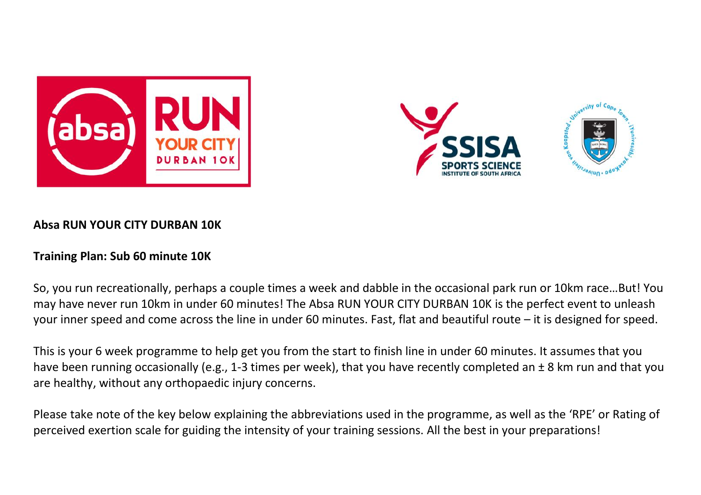





## **Absa RUN YOUR CITY DURBAN 10K**

## **Training Plan: Sub 60 minute 10K**

So, you run recreationally, perhaps a couple times a week and dabble in the occasional park run or 10km race…But! You may have never run 10km in under 60 minutes! The Absa RUN YOUR CITY DURBAN 10K is the perfect event to unleash your inner speed and come across the line in under 60 minutes. Fast, flat and beautiful route – it is designed for speed.

This is your 6 week programme to help get you from the start to finish line in under 60 minutes. It assumes that you have been running occasionally (e.g., 1-3 times per week), that you have recently completed an  $\pm 8$  km run and that you are healthy, without any orthopaedic injury concerns.

Please take note of the key below explaining the abbreviations used in the programme, as well as the 'RPE' or Rating of perceived exertion scale for guiding the intensity of your training sessions. All the best in your preparations!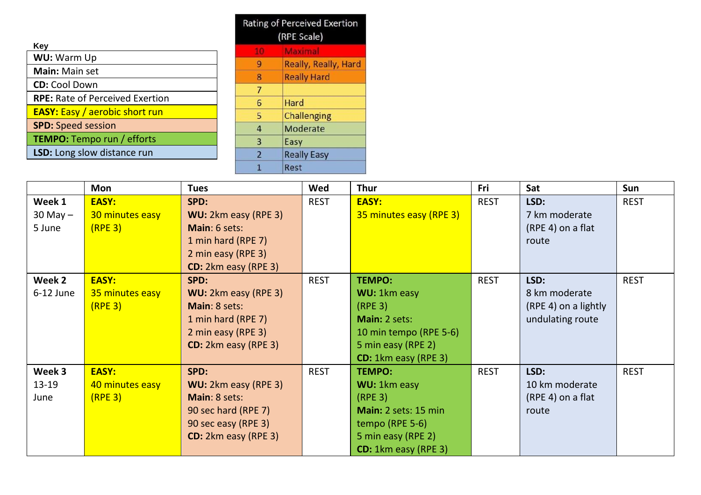|                                        | <b>Rating of Perceived Exertio</b> |                    |  |  |
|----------------------------------------|------------------------------------|--------------------|--|--|
|                                        | (RPE Scale)                        |                    |  |  |
| Key                                    | 10                                 | Maximal            |  |  |
| WU: Warm Up                            | 9                                  | Really, Really, Ha |  |  |
| Main: Main set                         |                                    |                    |  |  |
|                                        | 8                                  | <b>Really Hard</b> |  |  |
| <b>CD:</b> Cool Down                   | 7                                  |                    |  |  |
| <b>RPE:</b> Rate of Perceived Exertion | 6                                  | Hard               |  |  |
| <b>EASY:</b> Easy / aerobic short run  | 5                                  | <b>Challenging</b> |  |  |
| <b>SPD: Speed session</b>              | 4                                  | Moderate           |  |  |
| <b>TEMPO:</b> Tempo run / efforts      | 3                                  | Easy               |  |  |
| LSD: Long slow distance run            | $\overline{2}$                     | <b>Really Easy</b> |  |  |
|                                        |                                    | Rest               |  |  |

|              | Mon                 | <b>Tues</b>                 | Wed         | <b>Thur</b>                 | Fri         | Sat                  | <b>Sun</b>  |
|--------------|---------------------|-----------------------------|-------------|-----------------------------|-------------|----------------------|-------------|
| Week 1       | EASY:               | SPD:                        | <b>REST</b> | EASY:                       | <b>REST</b> | LSD:                 | <b>REST</b> |
| $30$ May $-$ | 30 minutes easy     | WU: 2km easy (RPE 3)        |             | 35 minutes easy (RPE 3)     |             | 7 km moderate        |             |
| 5 June       | (RPE <sub>3</sub> ) | Main: 6 sets:               |             |                             |             | (RPE 4) on a flat    |             |
|              |                     | 1 min hard (RPE 7)          |             |                             |             | route                |             |
|              |                     | 2 min easy (RPE 3)          |             |                             |             |                      |             |
|              |                     | <b>CD:</b> 2km easy (RPE 3) |             |                             |             |                      |             |
| Week 2       | <b>EASY:</b>        | SPD:                        | <b>REST</b> | <b>TEMPO:</b>               | <b>REST</b> | LSD:                 | <b>REST</b> |
| $6-12$ June  | 35 minutes easy     | WU: 2km easy (RPE 3)        |             | <b>WU: 1km easy</b>         |             | 8 km moderate        |             |
|              | (RPE <sub>3</sub> ) | Main: 8 sets:               |             | (RPE <sub>3</sub> )         |             | (RPE 4) on a lightly |             |
|              |                     | 1 min hard (RPE 7)          |             | Main: 2 sets:               |             | undulating route     |             |
|              |                     | 2 min easy (RPE 3)          |             | 10 min tempo (RPE 5-6)      |             |                      |             |
|              |                     | CD: 2km easy (RPE 3)        |             | 5 min easy (RPE 2)          |             |                      |             |
|              |                     |                             |             | <b>CD:</b> 1km easy (RPE 3) |             |                      |             |
| Week 3       | <b>EASY:</b>        | SPD:                        | <b>REST</b> | <b>TEMPO:</b>               | <b>REST</b> | LSD:                 | <b>REST</b> |
| 13-19        | 40 minutes easy     | WU: 2km easy (RPE 3)        |             | <b>WU: 1km easy</b>         |             | 10 km moderate       |             |
| June         | (RPE <sub>3</sub> ) | Main: 8 sets:               |             | (RPE <sub>3</sub> )         |             | (RPE 4) on a flat    |             |
|              |                     | 90 sec hard (RPE 7)         |             | Main: 2 sets: 15 min        |             | route                |             |
|              |                     | 90 sec easy (RPE 3)         |             | tempo (RPE $5-6$ )          |             |                      |             |
|              |                     | <b>CD:</b> 2km easy (RPE 3) |             | 5 min easy (RPE 2)          |             |                      |             |
|              |                     |                             |             | CD: 1km easy (RPE 3)        |             |                      |             |